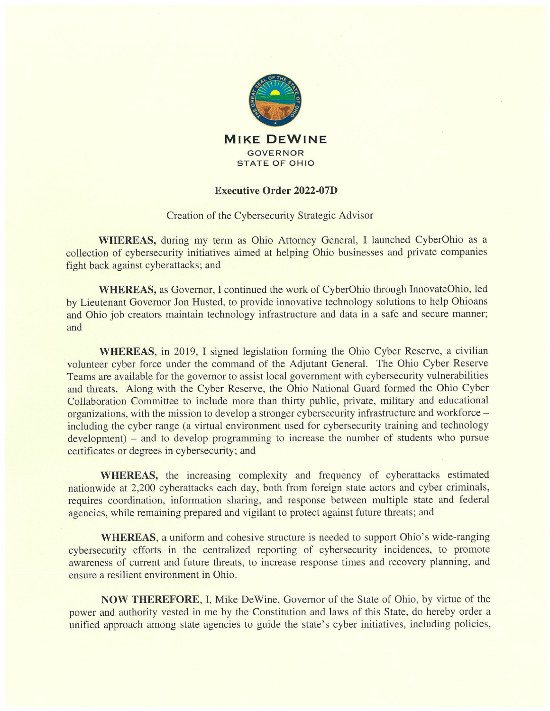

## Executive Order 2022-07D

Creation of the Cybersecurity Strategic Advisor

WHEREAS, during my term as Ohio Attorney General, I launched CyberOhio as a collection of cybersecurity initiatives aimed at helping Ohio businesses and private companies fight back against cyberattacks; and

WHEREAS, as Governor, I continued the work of CyberOhio through InnovateOhio, led by Lieutenant Governor Jon Husted, to provide innovative technology solutions to help Ohioans and Ohio job creators maintain technology infrastructure and data in a safe and secure manner; and

WHEREAS, in 2019, I signed legislation forming the Ohio Cyber Reserve, a civilian volunteer cyber force under the command of the Adjutant General. The Ohio Cyber Reserve Teams are available for the governor to assist local government with cybersecurity vulnerabilities and threats. Along with the Cyber Reserve, the Ohio National Guard formed the Ohio Cyber Collaboration Committee to include more than thirty public, private, military and educational organizations, with the mission to develop a stronger cybersecurity infrastructure and workforce including the cyber range (a virtual environment used for cybersecurity training and technology development) – and to develop programming to increase the number of students who pursue certificates or degrees in cybersecurity; and

WHEREAS, the increasing complexity and frequency of cyberattacks estimated nationwide at 2,200 cyberattacks each day, both from foreign state actors and cyber criminals, requires coordination, information sharing, and response between multiple state and federal agencies, while remaining prepared and vigilant to protect against future threats; and

WHEREAS, a uniform and cohesive structure is needed to support Ohio's wide-ranging cybersecurity efforts in the centralized reporting of cybersecurity incidences, to promote awareness of current and future threats, to increase response times and recovery planning, and ensure a resilient environment in Ohio.

NOW THEREFORE, I, Mike DeWine, Governor of the State of Ohio, by virtue of the power and authority vested in me by the Constitution and laws of this State, do hereby order a unified approach among state agencies to guide the state's cyber initiatives, including policies,